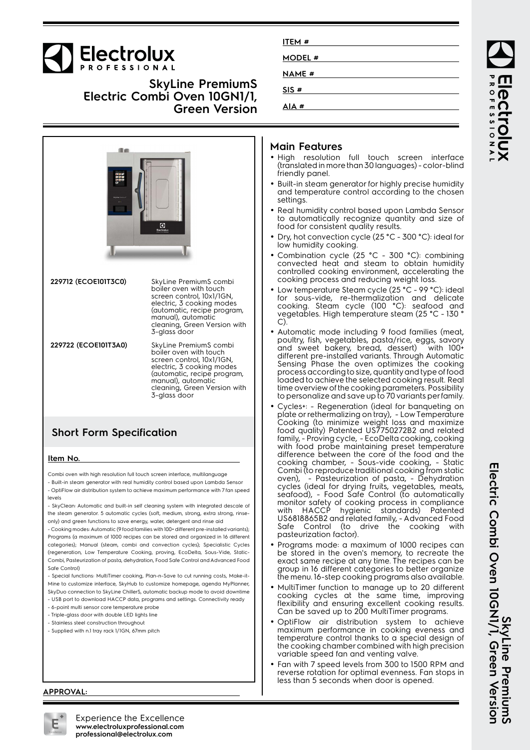

## **SkyLine PremiumS Electric Combi Oven 10GN1/1, Green Version**

| ma                   | $\bullet$<br>Electrolux                                                                                                                                                                                         |  |
|----------------------|-----------------------------------------------------------------------------------------------------------------------------------------------------------------------------------------------------------------|--|
| 229712 (ECOE101T3C0) | SkyLine PremiumS combi<br>boiler oven with touch<br>screen control, 10x1/1GN,<br>electric, 3 cooking modes<br>(automatic, recipe program,<br>manual), automatic<br>cleaning, Green Version with<br>3-glass door |  |
| 229722 (ECOE101T3A0) | SkyLine PremiumS combi<br>boiler oven with touch<br>screen control, 10x1/1GN,<br>electric, 3 cooking modes<br>(automatic, recipe program,<br>manual), automatic<br>cleaning, Green Version with<br>3-glass door |  |

## **Short Form Specification**

#### **Item No.**

Combi oven with high resolution full touch screen interface, multilanguage - Built-in steam generator with real humidity control based upon Lambda Sensor

- OptiFlow air distribution system to achieve maximum performance with 7 fan speed levels

- SkyClean: Automatic and built-in self cleaning system with integrated descale of the steam generator. 5 automatic cycles (soft, medium, strong, extra strong, rinseonly) and green functions to save energy, water, detergent and rinse aid

- Cooking modes: Automatic (9 food families with 100+ different pre-installed variants); Programs (a maximum of 1000 recipes can be stored and organized in 16 different categories); Manual (steam, combi and convection cycles); Specialistic Cycles (regeneration, Low Temperature Cooking, proving, EcoDelta, Sous-Vide, Static-Combi, Pasteurization of pasta, dehydration, Food Safe Control and Advanced Food Safe Control)

- Special functions: MultiTimer cooking, Plan-n-Save to cut running costs, Make-it-Mine to customize interface, SkyHub to customize homepage, agenda MyPlanner, SkyDuo connection to SkyLine ChillerS, automatic backup mode to avoid downtime

- USB port to download HACCP data, programs and settings. Connectivity ready
- 6-point multi sensor core temperature probe
- Triple-glass door with double LED lights line
- Stainless steel construction throughout - Supplied with n.1 tray rack 1/1GN, 67mm pitch

## **Main Features**

**ITEM # MODEL # NAME # SIS # AIA #**

- High resolution full touch screen interface (translated in more than 30 languages) - color-blind friendly panel.
- Built-in steam generator for highly precise humidity and temperature control according to the chosen settings.
- Real humidity control based upon Lambda Sensor to automatically recognize quantity and size of food for consistent quality results.
- Dry, hot convection cycle (25 °C 300 °C): ideal for low humidity cooking.
- Combination cycle (25 °C 300 °C): combining convected heat and steam to obtain humidity controlled cooking environment, accelerating the cooking process and reducing weight loss.
- Low temperature Steam cycle (25 °C 99 °C): ideal for sous-vide, re-thermalization and delicate cooking. Steam cycle (100 °C): seafood and vegetables. High temperature steam (25 °C - 130 ° C).
- Automatic mode including 9 food families (meat, poultry, fish, vegetables, pasta/rice, eggs, savory and sweet bakery, bread, dessert) with 100+ different pre-installed variants. Through Automatic Sensing Phase the oven optimizes the cooking process according to size, quantity and type of food loaded to achieve the selected cooking result. Real time overview of the cooking parameters. Possibility to personalize and save up to 70 variants per family.
- Cycles+: Regeneration (ideal for banqueting on plate or rethermalizing on tray), - Low Temperature Cooking (to minimize weight loss and maximize food quality) Patented US7750272B2 and related family, - Proving cycle, - EcoDelta cooking, cooking with food probe maintaining preset temperature difference between the core of the food and the cooking chamber, - Sous-vide cooking, - Static Combi (to reproduce traditional cooking from static oven), - Pasteurization of pasta, - Dehydration cycles (ideal for drying fruits, vegetables, meats, seafood), - Food Safe Control (to automatically monitor safety of cooking process in compliance with HACCP hygienic standards) Patented US6818865B2 and related family, - Advanced Food Safe Control (to drive the cooking with pasteurization factor).
- • Programs mode: a maximum of 1000 recipes can be stored in the oven's memory, to recreate the exact same recipe at any time. The recipes can be group in 16 different categories to better organize the menu. 16-step cooking programs also available.
- MultiTimer function to manage up to 20 different cooking cycles at the same time, improving flexibility and ensuring excellent cooking results. Can be saved up to 200 MultiTimer programs.
- • OptiFlow air distribution system to achieve maximum performance in cooking eveness and temperature control thanks to a special design of the cooking chamber combined with high precision variable speed fan and venting valve.
- • Fan with 7 speed levels from 300 to 1500 RPM and reverse rotation for optimal evenness. Fan stops in less than 5 seconds when door is opened.

ROFESSIONA **PCCI** 

SkyLine PremiumS<br>Electric Combi Oven 10GNI/1, Green Version **Electric Combi Oven 10GN1/1, Green Version SkyLine PremiumS**

#### **APPROVAL:**



Experience the Excellence **www.electroluxprofessional.com professional@electrolux.com**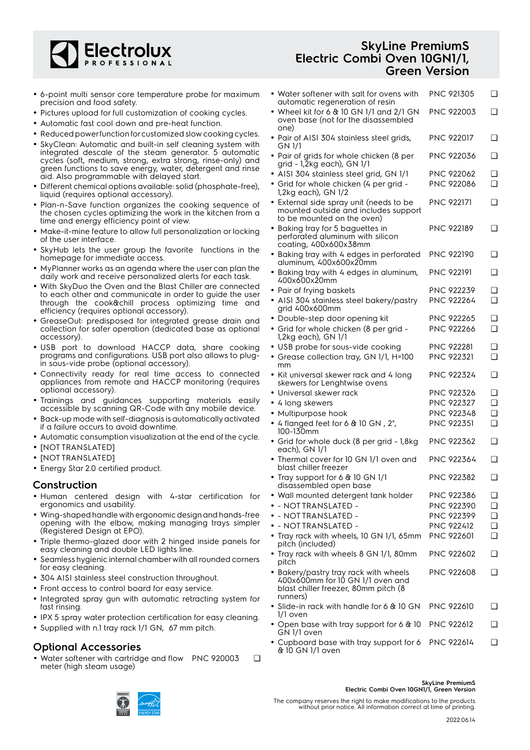

- 6-point multi sensor core temperature probe for maximum precision and food safety.
- Pictures upload for full customization of cooking cycles.
- Automatic fast cool down and pre-heat function.
- Reduced power function for customized slow cooking cycles.
- SkyClean: Automatic and built-in self cleaning system with integrated descale of the steam generator. 5 automatic cycles (soft, medium, strong, extra strong, rinse-only) and green functions to save energy, water, detergent and rinse aid. Also programmable with delayed start.
- Different chemical options available: solid (phosphate-free), liquid (requires optional accessory).
- Plan-n-Save function organizes the cooking sequence of the chosen cycles optimizing the work in the kitchen from a time and energy efficiency point of view.
- Make-it-mine feature to allow full personalization or locking of the user interface.
- • SkyHub lets the user group the favorite functions in the homepage for immediate access.
- MyPlanner works as an agenda where the user can plan the daily work and receive personalized alerts for each task.
- With SkyDuo the Oven and the Blast Chiller are connected to each other and communicate in order to guide the user through the cook&chill process optimizing time and efficiency (requires optional accessory).
- GreaseOut: predisposed for integrated grease drain and collection for safer operation (dedicated base as optional accessory).
- USB port to download HACCP data, share cooking programs and configurations. USB port also allows to plugin sous-vide probe (optional accessory).
- Connectivity ready for real time access to connected appliances from remote and HACCP monitoring (requires optional accessory).
- Trainings and guidances supporting materials easily accessible by scanning QR-Code with any mobile device.
- Back-up mode with self-diagnosis is automatically activated if a failure occurs to avoid downtime.
- Automatic consumption visualization at the end of the cycle.
- [NOT TRANSLATED]
- [NOT TRANSLATED]
- Energy Star 2.0 certified product.

#### **Construction**

- Human centered design with 4-star certification for ergonomics and usability.
- Wing-shaped handle with ergonomic design and hands-free opening with the elbow, making managing trays simpler (Registered Design at EPO).
- Triple thermo-glazed door with 2 hinged inside panels for easy cleaning and double LED lights line.
- • Seamless hygienic internal chamber with all rounded corners for easy cleaning.
- 304 AISI stainless steel construction throughout.
- Front access to control board for easy service.
- Integrated spray gun with automatic retracting system for fast rinsing.
- IPX 5 spray water protection certification for easy cleaning.
- Supplied with n.1 tray rack 1/1 GN, 67 mm pitch.

## **Optional Accessories**

• Water softener with cartridge and flow PNC 920003 ❑ meter (high steam usage)

# **SkyLine PremiumS Electric Combi Oven 10GN1/1, Green Version**

| $\bullet\,$ Water softener with salt for ovens with<br>automatic regeneration of resin                                        | PNC 921305        | ❏      |
|-------------------------------------------------------------------------------------------------------------------------------|-------------------|--------|
| • Wheel kit for 6 $&$ 10 GN 1/1 and 2/1 GN<br>oven base (not for the disassembled<br>one)                                     | <b>PNC 922003</b> | ❏      |
| · Pair of AISI 304 stainless steel grids,<br>GN 1/1                                                                           | <b>PNC 922017</b> | ❏      |
| • Pair of grids for whole chicken (8 per<br>grid - 1,2kg each), GN 1/1                                                        | PNC 922036        | ❏      |
| · AISI 304 stainless steel grid, GN 1/1                                                                                       | <b>PNC 922062</b> | ❏      |
| • Grid for whole chicken (4 per grid -<br>1,2kg each), GN 1/2                                                                 | <b>PNC 922086</b> | ◻      |
| • External side spray unit (needs to be<br>mounted outside and includes support<br>to be mounted on the oven)                 | <b>PNC 922171</b> | ❏      |
| • Baking tray for 5 baguettes in<br>perforated aluminum with silicon<br>coating, 400x600x38mm                                 | PNC 922189        | ❏      |
| • Baking tray with 4 edges in perforated<br>aluminum, 400x600x20mm                                                            | <b>PNC 922190</b> | ❏      |
| • Baking tray with 4 edges in aluminum,<br>400x600x20mm                                                                       | <b>PNC 922191</b> | ❏      |
| • Pair of frying baskets                                                                                                      | <b>PNC 922239</b> | ❏      |
| · AISI 304 stainless steel bakery/pastry<br>grid 400x600mm                                                                    | <b>PNC 922264</b> | ◻      |
| • Double-step door opening kit                                                                                                | <b>PNC 922265</b> | ❏      |
| · Grid for whole chicken (8 per grid -<br>1,2kg each), GN 1/1                                                                 | <b>PNC 922266</b> | ❏      |
| • USB probe for sous-vide cooking                                                                                             | <b>PNC 922281</b> | ❏      |
| • Grease collection tray, GN 1/1, H=100<br>mm                                                                                 | PNC 922321        | ❏      |
| • Kit universal skewer rack and 4 long<br>skewers for Lenghtwise ovens                                                        | PNC 922324        | ❏      |
| $\bullet\,$ Universal skewer rack                                                                                             | <b>PNC 922326</b> | ❏      |
| • 4 long skewers                                                                                                              | <b>PNC 922327</b> | ◻      |
| · Multipurpose hook                                                                                                           | PNC 922348        | ❏      |
| • 4 flanged feet for 6 & 10 GN, 2",<br>100-130mm                                                                              | PNC 922351        | ❏      |
| · Grid for whole duck (8 per grid - 1,8kg<br>each), GN 1/1                                                                    | PNC 922362        | ❏      |
| • Thermal cover for 10 GN 1/1 oven and<br>blast chiller freezer                                                               | PNC 922364        | ❏      |
| • Tray support for 6 & 10 GN 1/1<br>disassembled open base                                                                    | PNC 922382        | ❏      |
| · Wall mounted detergent tank holder                                                                                          | PNC 922386        | ❏      |
| $\bullet$ - nottranslated -                                                                                                   | PNC 922390        | ❏      |
| - NOT TRANSLATED -                                                                                                            | <b>PNC 922399</b> | ❏      |
| - NOTTRANSLATED -                                                                                                             | <b>PNC 922412</b> | $\Box$ |
| • Tray rack with wheels, 10 GN 1/1, 65mm<br>pitch (included)                                                                  | <b>PNC 922601</b> | ◻      |
| • Tray rack with wheels 8 GN 1/1, 80mm<br>pitch                                                                               | <b>PNC 922602</b> | ❏      |
| • Bakery/pastry tray rack with wheels<br>400x600mm for 10 GN 1/1 oven and<br>blast chiller freezer, 80mm pitch (8<br>runners) | <b>PNC 922608</b> | ❏      |
| • Slide-in rack with handle for 6 & 10 GN<br>1/1 oven                                                                         | <b>PNC 922610</b> | ❏      |
| • Open base with tray support for 6 & 10<br>GN 1/1 oven                                                                       | <b>PNC 922612</b> | ❏      |
| • Cupboard base with tray support for 6<br>& 10 GN 1/1 oven                                                                   | <b>PNC 922614</b> | ❏      |



#### **SkyLine PremiumS Electric Combi Oven 10GN1/1, Green Version**

The company reserves the right to make modifications to the products without prior notice. All information correct at time of printing.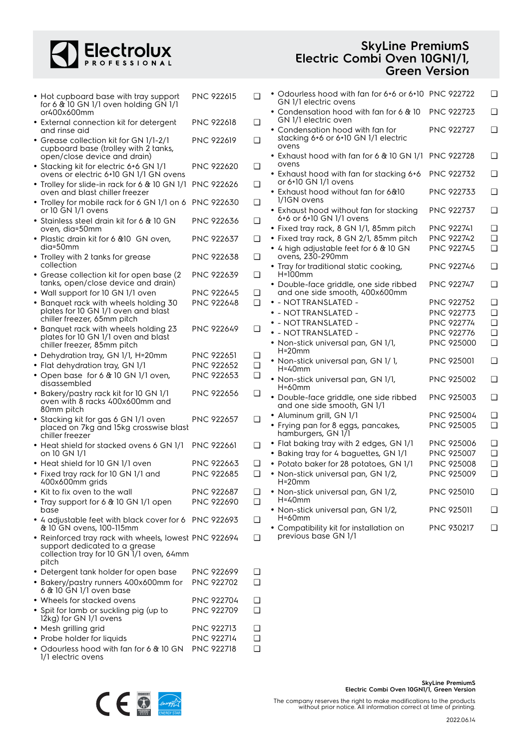

| <b>SkyLine PremiumS</b>      |
|------------------------------|
| Electric Combi Oven 10GN1/1, |
| <b>Green Version</b>         |

|      | <b>PNC 922615</b>                                                                                                                                                                                                                                                                                                                                                                                                                                                                                                                                                                                                                                                                                                                                                                                                                                                                                                                                                                                                                                                                                                                                                                                                                                                                                                                                                                                                                                                                                                                                                                                                                                                                                                                                                                                                                                                                                                       | $\Box$                                                                                                                                                                                                                                                                                                                                                                                                                                                                                                         |                                                               | GN 1/1 electric ovens                |                                                                                                                                                                                                                                                                                                                                                                                                                                                                                                                                                                                                                                                                                                                                                                                                                                                                                                                                                                                                                                                                                                                                                                                                                          |                                                                                                                                                                                                                                                                                                                                                                                                                                                       |
|------|-------------------------------------------------------------------------------------------------------------------------------------------------------------------------------------------------------------------------------------------------------------------------------------------------------------------------------------------------------------------------------------------------------------------------------------------------------------------------------------------------------------------------------------------------------------------------------------------------------------------------------------------------------------------------------------------------------------------------------------------------------------------------------------------------------------------------------------------------------------------------------------------------------------------------------------------------------------------------------------------------------------------------------------------------------------------------------------------------------------------------------------------------------------------------------------------------------------------------------------------------------------------------------------------------------------------------------------------------------------------------------------------------------------------------------------------------------------------------------------------------------------------------------------------------------------------------------------------------------------------------------------------------------------------------------------------------------------------------------------------------------------------------------------------------------------------------------------------------------------------------------------------------------------------------|----------------------------------------------------------------------------------------------------------------------------------------------------------------------------------------------------------------------------------------------------------------------------------------------------------------------------------------------------------------------------------------------------------------------------------------------------------------------------------------------------------------|---------------------------------------------------------------|--------------------------------------|--------------------------------------------------------------------------------------------------------------------------------------------------------------------------------------------------------------------------------------------------------------------------------------------------------------------------------------------------------------------------------------------------------------------------------------------------------------------------------------------------------------------------------------------------------------------------------------------------------------------------------------------------------------------------------------------------------------------------------------------------------------------------------------------------------------------------------------------------------------------------------------------------------------------------------------------------------------------------------------------------------------------------------------------------------------------------------------------------------------------------------------------------------------------------------------------------------------------------|-------------------------------------------------------------------------------------------------------------------------------------------------------------------------------------------------------------------------------------------------------------------------------------------------------------------------------------------------------------------------------------------------------------------------------------------------------|
|      |                                                                                                                                                                                                                                                                                                                                                                                                                                                                                                                                                                                                                                                                                                                                                                                                                                                                                                                                                                                                                                                                                                                                                                                                                                                                                                                                                                                                                                                                                                                                                                                                                                                                                                                                                                                                                                                                                                                         |                                                                                                                                                                                                                                                                                                                                                                                                                                                                                                                |                                                               | GN 1/1 electric oven                 | <b>PNC 922723</b>                                                                                                                                                                                                                                                                                                                                                                                                                                                                                                                                                                                                                                                                                                                                                                                                                                                                                                                                                                                                                                                                                                                                                                                                        | ⊑                                                                                                                                                                                                                                                                                                                                                                                                                                                     |
|      |                                                                                                                                                                                                                                                                                                                                                                                                                                                                                                                                                                                                                                                                                                                                                                                                                                                                                                                                                                                                                                                                                                                                                                                                                                                                                                                                                                                                                                                                                                                                                                                                                                                                                                                                                                                                                                                                                                                         |                                                                                                                                                                                                                                                                                                                                                                                                                                                                                                                |                                                               | stacking 6+6 or 6+10 GN 1/1 electric | <b>PNC 922727</b>                                                                                                                                                                                                                                                                                                                                                                                                                                                                                                                                                                                                                                                                                                                                                                                                                                                                                                                                                                                                                                                                                                                                                                                                        | C                                                                                                                                                                                                                                                                                                                                                                                                                                                     |
|      |                                                                                                                                                                                                                                                                                                                                                                                                                                                                                                                                                                                                                                                                                                                                                                                                                                                                                                                                                                                                                                                                                                                                                                                                                                                                                                                                                                                                                                                                                                                                                                                                                                                                                                                                                                                                                                                                                                                         |                                                                                                                                                                                                                                                                                                                                                                                                                                                                                                                |                                                               | ovens                                |                                                                                                                                                                                                                                                                                                                                                                                                                                                                                                                                                                                                                                                                                                                                                                                                                                                                                                                                                                                                                                                                                                                                                                                                                          | ℂ                                                                                                                                                                                                                                                                                                                                                                                                                                                     |
|      | <b>PNC 922620</b>                                                                                                                                                                                                                                                                                                                                                                                                                                                                                                                                                                                                                                                                                                                                                                                                                                                                                                                                                                                                                                                                                                                                                                                                                                                                                                                                                                                                                                                                                                                                                                                                                                                                                                                                                                                                                                                                                                       | $\Box$                                                                                                                                                                                                                                                                                                                                                                                                                                                                                                         |                                                               | ovens                                |                                                                                                                                                                                                                                                                                                                                                                                                                                                                                                                                                                                                                                                                                                                                                                                                                                                                                                                                                                                                                                                                                                                                                                                                                          | C                                                                                                                                                                                                                                                                                                                                                                                                                                                     |
|      |                                                                                                                                                                                                                                                                                                                                                                                                                                                                                                                                                                                                                                                                                                                                                                                                                                                                                                                                                                                                                                                                                                                                                                                                                                                                                                                                                                                                                                                                                                                                                                                                                                                                                                                                                                                                                                                                                                                         | ❏                                                                                                                                                                                                                                                                                                                                                                                                                                                                                                              |                                                               | or 6+10 GN 1/1 ovens                 |                                                                                                                                                                                                                                                                                                                                                                                                                                                                                                                                                                                                                                                                                                                                                                                                                                                                                                                                                                                                                                                                                                                                                                                                                          | C                                                                                                                                                                                                                                                                                                                                                                                                                                                     |
|      |                                                                                                                                                                                                                                                                                                                                                                                                                                                                                                                                                                                                                                                                                                                                                                                                                                                                                                                                                                                                                                                                                                                                                                                                                                                                                                                                                                                                                                                                                                                                                                                                                                                                                                                                                                                                                                                                                                                         | ❏                                                                                                                                                                                                                                                                                                                                                                                                                                                                                                              |                                                               | 1/1GN ovens                          |                                                                                                                                                                                                                                                                                                                                                                                                                                                                                                                                                                                                                                                                                                                                                                                                                                                                                                                                                                                                                                                                                                                                                                                                                          | C                                                                                                                                                                                                                                                                                                                                                                                                                                                     |
|      | <b>PNC 922636</b>                                                                                                                                                                                                                                                                                                                                                                                                                                                                                                                                                                                                                                                                                                                                                                                                                                                                                                                                                                                                                                                                                                                                                                                                                                                                                                                                                                                                                                                                                                                                                                                                                                                                                                                                                                                                                                                                                                       | $\Box$                                                                                                                                                                                                                                                                                                                                                                                                                                                                                                         |                                                               | 6+6 or 6+10 GN 1/1 ovens             |                                                                                                                                                                                                                                                                                                                                                                                                                                                                                                                                                                                                                                                                                                                                                                                                                                                                                                                                                                                                                                                                                                                                                                                                                          | ℂ                                                                                                                                                                                                                                                                                                                                                                                                                                                     |
|      |                                                                                                                                                                                                                                                                                                                                                                                                                                                                                                                                                                                                                                                                                                                                                                                                                                                                                                                                                                                                                                                                                                                                                                                                                                                                                                                                                                                                                                                                                                                                                                                                                                                                                                                                                                                                                                                                                                                         |                                                                                                                                                                                                                                                                                                                                                                                                                                                                                                                |                                                               |                                      |                                                                                                                                                                                                                                                                                                                                                                                                                                                                                                                                                                                                                                                                                                                                                                                                                                                                                                                                                                                                                                                                                                                                                                                                                          | C                                                                                                                                                                                                                                                                                                                                                                                                                                                     |
|      |                                                                                                                                                                                                                                                                                                                                                                                                                                                                                                                                                                                                                                                                                                                                                                                                                                                                                                                                                                                                                                                                                                                                                                                                                                                                                                                                                                                                                                                                                                                                                                                                                                                                                                                                                                                                                                                                                                                         |                                                                                                                                                                                                                                                                                                                                                                                                                                                                                                                |                                                               |                                      |                                                                                                                                                                                                                                                                                                                                                                                                                                                                                                                                                                                                                                                                                                                                                                                                                                                                                                                                                                                                                                                                                                                                                                                                                          |                                                                                                                                                                                                                                                                                                                                                                                                                                                       |
|      | PNC 922638                                                                                                                                                                                                                                                                                                                                                                                                                                                                                                                                                                                                                                                                                                                                                                                                                                                                                                                                                                                                                                                                                                                                                                                                                                                                                                                                                                                                                                                                                                                                                                                                                                                                                                                                                                                                                                                                                                              | ❏                                                                                                                                                                                                                                                                                                                                                                                                                                                                                                              |                                                               | ovens, 230-290mm                     |                                                                                                                                                                                                                                                                                                                                                                                                                                                                                                                                                                                                                                                                                                                                                                                                                                                                                                                                                                                                                                                                                                                                                                                                                          | C                                                                                                                                                                                                                                                                                                                                                                                                                                                     |
|      | <b>PNC 922639</b>                                                                                                                                                                                                                                                                                                                                                                                                                                                                                                                                                                                                                                                                                                                                                                                                                                                                                                                                                                                                                                                                                                                                                                                                                                                                                                                                                                                                                                                                                                                                                                                                                                                                                                                                                                                                                                                                                                       | ❏                                                                                                                                                                                                                                                                                                                                                                                                                                                                                                              |                                                               | $H=100$ mm                           |                                                                                                                                                                                                                                                                                                                                                                                                                                                                                                                                                                                                                                                                                                                                                                                                                                                                                                                                                                                                                                                                                                                                                                                                                          | C                                                                                                                                                                                                                                                                                                                                                                                                                                                     |
|      |                                                                                                                                                                                                                                                                                                                                                                                                                                                                                                                                                                                                                                                                                                                                                                                                                                                                                                                                                                                                                                                                                                                                                                                                                                                                                                                                                                                                                                                                                                                                                                                                                                                                                                                                                                                                                                                                                                                         |                                                                                                                                                                                                                                                                                                                                                                                                                                                                                                                |                                                               |                                      |                                                                                                                                                                                                                                                                                                                                                                                                                                                                                                                                                                                                                                                                                                                                                                                                                                                                                                                                                                                                                                                                                                                                                                                                                          | C                                                                                                                                                                                                                                                                                                                                                                                                                                                     |
|      |                                                                                                                                                                                                                                                                                                                                                                                                                                                                                                                                                                                                                                                                                                                                                                                                                                                                                                                                                                                                                                                                                                                                                                                                                                                                                                                                                                                                                                                                                                                                                                                                                                                                                                                                                                                                                                                                                                                         |                                                                                                                                                                                                                                                                                                                                                                                                                                                                                                                |                                                               |                                      |                                                                                                                                                                                                                                                                                                                                                                                                                                                                                                                                                                                                                                                                                                                                                                                                                                                                                                                                                                                                                                                                                                                                                                                                                          | C                                                                                                                                                                                                                                                                                                                                                                                                                                                     |
|      |                                                                                                                                                                                                                                                                                                                                                                                                                                                                                                                                                                                                                                                                                                                                                                                                                                                                                                                                                                                                                                                                                                                                                                                                                                                                                                                                                                                                                                                                                                                                                                                                                                                                                                                                                                                                                                                                                                                         |                                                                                                                                                                                                                                                                                                                                                                                                                                                                                                                |                                                               |                                      |                                                                                                                                                                                                                                                                                                                                                                                                                                                                                                                                                                                                                                                                                                                                                                                                                                                                                                                                                                                                                                                                                                                                                                                                                          | C                                                                                                                                                                                                                                                                                                                                                                                                                                                     |
|      |                                                                                                                                                                                                                                                                                                                                                                                                                                                                                                                                                                                                                                                                                                                                                                                                                                                                                                                                                                                                                                                                                                                                                                                                                                                                                                                                                                                                                                                                                                                                                                                                                                                                                                                                                                                                                                                                                                                         |                                                                                                                                                                                                                                                                                                                                                                                                                                                                                                                |                                                               |                                      |                                                                                                                                                                                                                                                                                                                                                                                                                                                                                                                                                                                                                                                                                                                                                                                                                                                                                                                                                                                                                                                                                                                                                                                                                          |                                                                                                                                                                                                                                                                                                                                                                                                                                                       |
|      |                                                                                                                                                                                                                                                                                                                                                                                                                                                                                                                                                                                                                                                                                                                                                                                                                                                                                                                                                                                                                                                                                                                                                                                                                                                                                                                                                                                                                                                                                                                                                                                                                                                                                                                                                                                                                                                                                                                         |                                                                                                                                                                                                                                                                                                                                                                                                                                                                                                                |                                                               |                                      |                                                                                                                                                                                                                                                                                                                                                                                                                                                                                                                                                                                                                                                                                                                                                                                                                                                                                                                                                                                                                                                                                                                                                                                                                          | C                                                                                                                                                                                                                                                                                                                                                                                                                                                     |
|      |                                                                                                                                                                                                                                                                                                                                                                                                                                                                                                                                                                                                                                                                                                                                                                                                                                                                                                                                                                                                                                                                                                                                                                                                                                                                                                                                                                                                                                                                                                                                                                                                                                                                                                                                                                                                                                                                                                                         |                                                                                                                                                                                                                                                                                                                                                                                                                                                                                                                |                                                               |                                      |                                                                                                                                                                                                                                                                                                                                                                                                                                                                                                                                                                                                                                                                                                                                                                                                                                                                                                                                                                                                                                                                                                                                                                                                                          | C                                                                                                                                                                                                                                                                                                                                                                                                                                                     |
|      |                                                                                                                                                                                                                                                                                                                                                                                                                                                                                                                                                                                                                                                                                                                                                                                                                                                                                                                                                                                                                                                                                                                                                                                                                                                                                                                                                                                                                                                                                                                                                                                                                                                                                                                                                                                                                                                                                                                         |                                                                                                                                                                                                                                                                                                                                                                                                                                                                                                                |                                                               |                                      |                                                                                                                                                                                                                                                                                                                                                                                                                                                                                                                                                                                                                                                                                                                                                                                                                                                                                                                                                                                                                                                                                                                                                                                                                          | C                                                                                                                                                                                                                                                                                                                                                                                                                                                     |
|      | <b>PNC 922651</b>                                                                                                                                                                                                                                                                                                                                                                                                                                                                                                                                                                                                                                                                                                                                                                                                                                                                                                                                                                                                                                                                                                                                                                                                                                                                                                                                                                                                                                                                                                                                                                                                                                                                                                                                                                                                                                                                                                       | $\Box$                                                                                                                                                                                                                                                                                                                                                                                                                                                                                                         |                                                               |                                      |                                                                                                                                                                                                                                                                                                                                                                                                                                                                                                                                                                                                                                                                                                                                                                                                                                                                                                                                                                                                                                                                                                                                                                                                                          |                                                                                                                                                                                                                                                                                                                                                                                                                                                       |
|      | PNC 922652                                                                                                                                                                                                                                                                                                                                                                                                                                                                                                                                                                                                                                                                                                                                                                                                                                                                                                                                                                                                                                                                                                                                                                                                                                                                                                                                                                                                                                                                                                                                                                                                                                                                                                                                                                                                                                                                                                              | $\Box$                                                                                                                                                                                                                                                                                                                                                                                                                                                                                                         |                                                               |                                      |                                                                                                                                                                                                                                                                                                                                                                                                                                                                                                                                                                                                                                                                                                                                                                                                                                                                                                                                                                                                                                                                                                                                                                                                                          | C                                                                                                                                                                                                                                                                                                                                                                                                                                                     |
|      | PNC 922653                                                                                                                                                                                                                                                                                                                                                                                                                                                                                                                                                                                                                                                                                                                                                                                                                                                                                                                                                                                                                                                                                                                                                                                                                                                                                                                                                                                                                                                                                                                                                                                                                                                                                                                                                                                                                                                                                                              | $\Box$                                                                                                                                                                                                                                                                                                                                                                                                                                                                                                         |                                                               |                                      | <b>PNC 925002</b>                                                                                                                                                                                                                                                                                                                                                                                                                                                                                                                                                                                                                                                                                                                                                                                                                                                                                                                                                                                                                                                                                                                                                                                                        | C                                                                                                                                                                                                                                                                                                                                                                                                                                                     |
|      | <b>PNC 922656</b>                                                                                                                                                                                                                                                                                                                                                                                                                                                                                                                                                                                                                                                                                                                                                                                                                                                                                                                                                                                                                                                                                                                                                                                                                                                                                                                                                                                                                                                                                                                                                                                                                                                                                                                                                                                                                                                                                                       | $\Box$                                                                                                                                                                                                                                                                                                                                                                                                                                                                                                         |                                                               |                                      | <b>PNC 925003</b>                                                                                                                                                                                                                                                                                                                                                                                                                                                                                                                                                                                                                                                                                                                                                                                                                                                                                                                                                                                                                                                                                                                                                                                                        | C                                                                                                                                                                                                                                                                                                                                                                                                                                                     |
|      |                                                                                                                                                                                                                                                                                                                                                                                                                                                                                                                                                                                                                                                                                                                                                                                                                                                                                                                                                                                                                                                                                                                                                                                                                                                                                                                                                                                                                                                                                                                                                                                                                                                                                                                                                                                                                                                                                                                         |                                                                                                                                                                                                                                                                                                                                                                                                                                                                                                                |                                                               |                                      | <b>PNC 925004</b>                                                                                                                                                                                                                                                                                                                                                                                                                                                                                                                                                                                                                                                                                                                                                                                                                                                                                                                                                                                                                                                                                                                                                                                                        | C                                                                                                                                                                                                                                                                                                                                                                                                                                                     |
|      |                                                                                                                                                                                                                                                                                                                                                                                                                                                                                                                                                                                                                                                                                                                                                                                                                                                                                                                                                                                                                                                                                                                                                                                                                                                                                                                                                                                                                                                                                                                                                                                                                                                                                                                                                                                                                                                                                                                         |                                                                                                                                                                                                                                                                                                                                                                                                                                                                                                                |                                                               |                                      | PNC 925005                                                                                                                                                                                                                                                                                                                                                                                                                                                                                                                                                                                                                                                                                                                                                                                                                                                                                                                                                                                                                                                                                                                                                                                                               | C                                                                                                                                                                                                                                                                                                                                                                                                                                                     |
|      |                                                                                                                                                                                                                                                                                                                                                                                                                                                                                                                                                                                                                                                                                                                                                                                                                                                                                                                                                                                                                                                                                                                                                                                                                                                                                                                                                                                                                                                                                                                                                                                                                                                                                                                                                                                                                                                                                                                         |                                                                                                                                                                                                                                                                                                                                                                                                                                                                                                                |                                                               |                                      | <b>PNC 925006</b>                                                                                                                                                                                                                                                                                                                                                                                                                                                                                                                                                                                                                                                                                                                                                                                                                                                                                                                                                                                                                                                                                                                                                                                                        | C                                                                                                                                                                                                                                                                                                                                                                                                                                                     |
|      |                                                                                                                                                                                                                                                                                                                                                                                                                                                                                                                                                                                                                                                                                                                                                                                                                                                                                                                                                                                                                                                                                                                                                                                                                                                                                                                                                                                                                                                                                                                                                                                                                                                                                                                                                                                                                                                                                                                         |                                                                                                                                                                                                                                                                                                                                                                                                                                                                                                                |                                                               |                                      | <b>PNC 925007</b>                                                                                                                                                                                                                                                                                                                                                                                                                                                                                                                                                                                                                                                                                                                                                                                                                                                                                                                                                                                                                                                                                                                                                                                                        | C                                                                                                                                                                                                                                                                                                                                                                                                                                                     |
|      |                                                                                                                                                                                                                                                                                                                                                                                                                                                                                                                                                                                                                                                                                                                                                                                                                                                                                                                                                                                                                                                                                                                                                                                                                                                                                                                                                                                                                                                                                                                                                                                                                                                                                                                                                                                                                                                                                                                         |                                                                                                                                                                                                                                                                                                                                                                                                                                                                                                                |                                                               |                                      |                                                                                                                                                                                                                                                                                                                                                                                                                                                                                                                                                                                                                                                                                                                                                                                                                                                                                                                                                                                                                                                                                                                                                                                                                          | C                                                                                                                                                                                                                                                                                                                                                                                                                                                     |
|      | PNC 922685                                                                                                                                                                                                                                                                                                                                                                                                                                                                                                                                                                                                                                                                                                                                                                                                                                                                                                                                                                                                                                                                                                                                                                                                                                                                                                                                                                                                                                                                                                                                                                                                                                                                                                                                                                                                                                                                                                              | ❏                                                                                                                                                                                                                                                                                                                                                                                                                                                                                                              |                                                               |                                      | PNC 925009                                                                                                                                                                                                                                                                                                                                                                                                                                                                                                                                                                                                                                                                                                                                                                                                                                                                                                                                                                                                                                                                                                                                                                                                               | Ċ                                                                                                                                                                                                                                                                                                                                                                                                                                                     |
|      |                                                                                                                                                                                                                                                                                                                                                                                                                                                                                                                                                                                                                                                                                                                                                                                                                                                                                                                                                                                                                                                                                                                                                                                                                                                                                                                                                                                                                                                                                                                                                                                                                                                                                                                                                                                                                                                                                                                         | ❏                                                                                                                                                                                                                                                                                                                                                                                                                                                                                                              |                                                               |                                      |                                                                                                                                                                                                                                                                                                                                                                                                                                                                                                                                                                                                                                                                                                                                                                                                                                                                                                                                                                                                                                                                                                                                                                                                                          | C                                                                                                                                                                                                                                                                                                                                                                                                                                                     |
|      |                                                                                                                                                                                                                                                                                                                                                                                                                                                                                                                                                                                                                                                                                                                                                                                                                                                                                                                                                                                                                                                                                                                                                                                                                                                                                                                                                                                                                                                                                                                                                                                                                                                                                                                                                                                                                                                                                                                         | ❏                                                                                                                                                                                                                                                                                                                                                                                                                                                                                                              |                                                               | H=40mm                               |                                                                                                                                                                                                                                                                                                                                                                                                                                                                                                                                                                                                                                                                                                                                                                                                                                                                                                                                                                                                                                                                                                                                                                                                                          |                                                                                                                                                                                                                                                                                                                                                                                                                                                       |
| base |                                                                                                                                                                                                                                                                                                                                                                                                                                                                                                                                                                                                                                                                                                                                                                                                                                                                                                                                                                                                                                                                                                                                                                                                                                                                                                                                                                                                                                                                                                                                                                                                                                                                                                                                                                                                                                                                                                                         |                                                                                                                                                                                                                                                                                                                                                                                                                                                                                                                |                                                               | H=60mm                               | <b>PNC 925011</b>                                                                                                                                                                                                                                                                                                                                                                                                                                                                                                                                                                                                                                                                                                                                                                                                                                                                                                                                                                                                                                                                                                                                                                                                        | ℂ                                                                                                                                                                                                                                                                                                                                                                                                                                                     |
|      |                                                                                                                                                                                                                                                                                                                                                                                                                                                                                                                                                                                                                                                                                                                                                                                                                                                                                                                                                                                                                                                                                                                                                                                                                                                                                                                                                                                                                                                                                                                                                                                                                                                                                                                                                                                                                                                                                                                         |                                                                                                                                                                                                                                                                                                                                                                                                                                                                                                                |                                                               |                                      | <b>PNC 930217</b>                                                                                                                                                                                                                                                                                                                                                                                                                                                                                                                                                                                                                                                                                                                                                                                                                                                                                                                                                                                                                                                                                                                                                                                                        | C                                                                                                                                                                                                                                                                                                                                                                                                                                                     |
|      |                                                                                                                                                                                                                                                                                                                                                                                                                                                                                                                                                                                                                                                                                                                                                                                                                                                                                                                                                                                                                                                                                                                                                                                                                                                                                                                                                                                                                                                                                                                                                                                                                                                                                                                                                                                                                                                                                                                         | ❏                                                                                                                                                                                                                                                                                                                                                                                                                                                                                                              |                                                               |                                      |                                                                                                                                                                                                                                                                                                                                                                                                                                                                                                                                                                                                                                                                                                                                                                                                                                                                                                                                                                                                                                                                                                                                                                                                                          |                                                                                                                                                                                                                                                                                                                                                                                                                                                       |
|      | <b>PNC 922699</b>                                                                                                                                                                                                                                                                                                                                                                                                                                                                                                                                                                                                                                                                                                                                                                                                                                                                                                                                                                                                                                                                                                                                                                                                                                                                                                                                                                                                                                                                                                                                                                                                                                                                                                                                                                                                                                                                                                       | ❏                                                                                                                                                                                                                                                                                                                                                                                                                                                                                                              |                                                               |                                      |                                                                                                                                                                                                                                                                                                                                                                                                                                                                                                                                                                                                                                                                                                                                                                                                                                                                                                                                                                                                                                                                                                                                                                                                                          |                                                                                                                                                                                                                                                                                                                                                                                                                                                       |
|      | <b>PNC 922702</b>                                                                                                                                                                                                                                                                                                                                                                                                                                                                                                                                                                                                                                                                                                                                                                                                                                                                                                                                                                                                                                                                                                                                                                                                                                                                                                                                                                                                                                                                                                                                                                                                                                                                                                                                                                                                                                                                                                       | ❏                                                                                                                                                                                                                                                                                                                                                                                                                                                                                                              |                                                               |                                      |                                                                                                                                                                                                                                                                                                                                                                                                                                                                                                                                                                                                                                                                                                                                                                                                                                                                                                                                                                                                                                                                                                                                                                                                                          |                                                                                                                                                                                                                                                                                                                                                                                                                                                       |
|      | PNC 922704                                                                                                                                                                                                                                                                                                                                                                                                                                                                                                                                                                                                                                                                                                                                                                                                                                                                                                                                                                                                                                                                                                                                                                                                                                                                                                                                                                                                                                                                                                                                                                                                                                                                                                                                                                                                                                                                                                              | $\Box$                                                                                                                                                                                                                                                                                                                                                                                                                                                                                                         |                                                               |                                      |                                                                                                                                                                                                                                                                                                                                                                                                                                                                                                                                                                                                                                                                                                                                                                                                                                                                                                                                                                                                                                                                                                                                                                                                                          |                                                                                                                                                                                                                                                                                                                                                                                                                                                       |
|      | PNC 922709                                                                                                                                                                                                                                                                                                                                                                                                                                                                                                                                                                                                                                                                                                                                                                                                                                                                                                                                                                                                                                                                                                                                                                                                                                                                                                                                                                                                                                                                                                                                                                                                                                                                                                                                                                                                                                                                                                              | ❏                                                                                                                                                                                                                                                                                                                                                                                                                                                                                                              |                                                               |                                      |                                                                                                                                                                                                                                                                                                                                                                                                                                                                                                                                                                                                                                                                                                                                                                                                                                                                                                                                                                                                                                                                                                                                                                                                                          |                                                                                                                                                                                                                                                                                                                                                                                                                                                       |
|      | PNC 922713                                                                                                                                                                                                                                                                                                                                                                                                                                                                                                                                                                                                                                                                                                                                                                                                                                                                                                                                                                                                                                                                                                                                                                                                                                                                                                                                                                                                                                                                                                                                                                                                                                                                                                                                                                                                                                                                                                              | $\Box$                                                                                                                                                                                                                                                                                                                                                                                                                                                                                                         |                                                               |                                      |                                                                                                                                                                                                                                                                                                                                                                                                                                                                                                                                                                                                                                                                                                                                                                                                                                                                                                                                                                                                                                                                                                                                                                                                                          |                                                                                                                                                                                                                                                                                                                                                                                                                                                       |
|      | <b>PNC 922714</b>                                                                                                                                                                                                                                                                                                                                                                                                                                                                                                                                                                                                                                                                                                                                                                                                                                                                                                                                                                                                                                                                                                                                                                                                                                                                                                                                                                                                                                                                                                                                                                                                                                                                                                                                                                                                                                                                                                       | $\Box$                                                                                                                                                                                                                                                                                                                                                                                                                                                                                                         |                                                               |                                      |                                                                                                                                                                                                                                                                                                                                                                                                                                                                                                                                                                                                                                                                                                                                                                                                                                                                                                                                                                                                                                                                                                                                                                                                                          |                                                                                                                                                                                                                                                                                                                                                                                                                                                       |
|      |                                                                                                                                                                                                                                                                                                                                                                                                                                                                                                                                                                                                                                                                                                                                                                                                                                                                                                                                                                                                                                                                                                                                                                                                                                                                                                                                                                                                                                                                                                                                                                                                                                                                                                                                                                                                                                                                                                                         | $\Box$                                                                                                                                                                                                                                                                                                                                                                                                                                                                                                         |                                                               |                                      |                                                                                                                                                                                                                                                                                                                                                                                                                                                                                                                                                                                                                                                                                                                                                                                                                                                                                                                                                                                                                                                                                                                                                                                                                          |                                                                                                                                                                                                                                                                                                                                                                                                                                                       |
|      | • Hot cupboard base with tray support<br>for 6 & 10 GN 1/1 oven holding GN 1/1<br>or400x600mm<br>• External connection kit for detergent<br>and rinse aid<br>• Grease collection kit for GN 1/1-2/1<br>cupboard base (trolley with 2 tanks,<br>open/close device and drain)<br>• Stacking kit for electric 6+6 GN 1/1<br>ovens or electric 6+10 GN 1/1 GN ovens<br>• Trolley for slide-in rack for 6 & 10 GN 1/1<br>oven and blast chiller freezer<br>or 10 GN 1/1 ovens<br>• Stainless steel drain kit for 6 & 10 GN<br>oven, dia=50mm<br>• Plastic drain kit for 6 & 10 GN oven,<br>dia=50mm<br>• Trolley with 2 tanks for grease<br>collection<br>• Grease collection kit for open base (2)<br>tanks, open/close device and drain)<br>• Wall support for 10 GN 1/1 oven<br>• Banquet rack with wheels holding 30<br>plates for 10 GN 1/1 oven and blast<br>chiller freezer, 65mm pitch<br>• Banquet rack with wheels holding 23<br>plates for 10 GN 1/1 oven and blast<br>chiller freezer, 85mm pitch<br>• Dehydration tray, GN 1/1, H=20mm<br>• Flat dehydration tray, GN 1/1<br>• Open base for 6 & 10 GN 1/1 oven,<br>disassembled<br>• Bakery/pastry rack kit for 10 GN 1/1<br>oven with 8 racks 400x600mm and<br>80mm pitch<br>• Stacking kit for gas 6 GN 1/1 oven<br>placed on 7kg and 15kg crosswise blast<br>chiller freezer<br>on 10 GN 1/1<br>• Heat shield for 10 GN 1/1 oven<br>• Fixed tray rack for 10 GN 1/1 and<br>400x600mm grids<br>• Kit to fix oven to the wall<br>• Tray support for 6 & 10 GN 1/1 open<br>& 10 GN ovens, 100-115mm<br>support dedicated to a grease<br>collection tray for 10 GN 1/1 oven, 64mm<br>pitch<br>• Detergent tank holder for open base<br>• Bakery/pastry runners 400x600mm for<br>6 & 10 GN 1/1 oven base<br>• Wheels for stacked ovens<br>• Spit for lamb or suckling pig (up to<br>12kg) for GN 1/1 ovens<br>• Mesh grilling grid<br>• Probe holder for liquids | <b>PNC 922618</b><br><b>PNC 922619</b><br><b>PNC 922626</b><br>• Trolley for mobile rack for 6 GN 1/1 on 6 PNC 922630<br><b>PNC 922637</b><br><b>PNC 922645</b><br><b>PNC 922648</b><br><b>PNC 922649</b><br><b>PNC 922657</b><br>• Heat shield for stacked ovens 6 GN 1/1 PNC 922661<br><b>PNC 922663</b><br>PNC 922687<br>PNC 922690<br>• 4 adjustable feet with black cover for 6 PNC 922693<br>• Reinforced tray rack with wheels, lowest PNC 922694<br>• Odourless hood with fan for 6 & 10 GN PNC 922718 | ❏<br>❏<br>❏<br>❏<br>❏<br>$\Box$<br>$\Box$<br>$\Box$<br>❏<br>❏ |                                      | • Condensation hood with fan for 6 & 10<br>• Condensation hood with fan for<br>• Exhaust hood with fan for stacking 6+6<br>• Exhaust hood without fan for 6&10<br>• Exhaust hood without fan for stacking<br>• Fixed tray rack, 8 GN 1/1, 85mm pitch<br>• Fixed tray rack, 8 GN 2/1, 85mm pitch<br>• 4 high adjustable feet for 6 & 10 GN<br>• Tray for traditional static cooking,<br>• Double-face griddle, one side ribbed<br>and one side smooth, 400x600mm<br>• - NOTTRANSLATED -<br>• - NOTTRANSLATED -<br>• - NOT TRANSLATED -<br>• - NOT TRANSLATED -<br>• Non-stick universal pan, GN 1/1,<br>H=20mm<br>• Non-stick universal pan, GN 1/1,<br>$H = 40$ mm<br>• Non-stick universal pan, GN 1/1,<br>$H = 60$ mm<br>· Double-face griddle, one side ribbed<br>and one side smooth, GN 1/1<br>• Aluminum grill, GN 1/1<br>• Frying pan for 8 eggs, pancakes,<br>hamburgers, GN 171<br>• Flat baking tray with 2 edges, GN 1/1<br>• Baking tray for 4 baguettes, GN 1/1<br>• Potato baker for 28 potatoes, GN 1/1<br>• Non-stick universal pan, GN 1/2,<br>$H=20$ mm<br>• Non-stick universal pan, GN 1/2,<br>· Non-stick universal pan, GN 1/2,<br>• Compatibility kit for installation on<br>previous base GN 1/1 | • Odourless hood with fan for 6+6 or 6+10 PNC 922722<br>• Exhaust hood with fan for 6 & 10 GN 1/1 PNC 922728<br><b>PNC 922732</b><br><b>PNC 922733</b><br><b>PNC 922737</b><br><b>PNC 922741</b><br><b>PNC 922742</b><br><b>PNC 922745</b><br><b>PNC 922746</b><br><b>PNC 922747</b><br><b>PNC 922752</b><br><b>PNC 922773</b><br><b>PNC 922774</b><br>PNC 922776<br><b>PNC 925000</b><br><b>PNC 925001</b><br><b>PNC 925008</b><br><b>PNC 925010</b> |

1/1 electric ovens



**SkyLine PremiumS Electric Combi Oven 10GN1/1, Green Version**

The company reserves the right to make modifications to the products without prior notice. All information correct at time of printing.